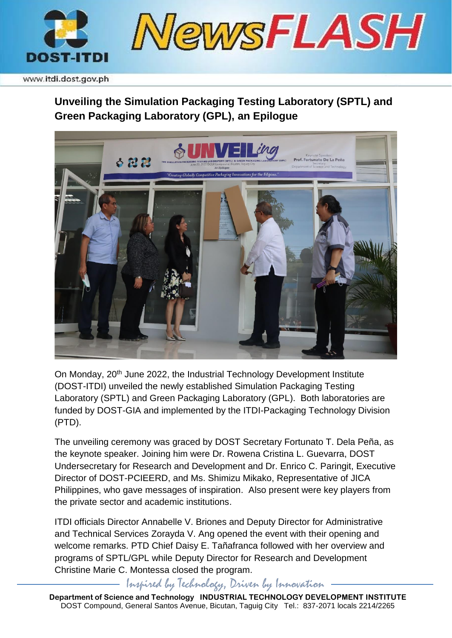

www.itdi.dost.gov.ph

## **Unveiling the Simulation Packaging Testing Laboratory (SPTL) and Green Packaging Laboratory (GPL), an Epilogue**



On Monday, 20th June 2022, the Industrial Technology Development Institute (DOST-ITDI) unveiled the newly established Simulation Packaging Testing Laboratory (SPTL) and Green Packaging Laboratory (GPL). Both laboratories are funded by DOST-GIA and implemented by the ITDI-Packaging Technology Division (PTD).

The unveiling ceremony was graced by DOST Secretary Fortunato T. Dela Peña, as the keynote speaker. Joining him were Dr. Rowena Cristina L. Guevarra, DOST Undersecretary for Research and Development and Dr. Enrico C. Paringit, Executive Director of DOST-PCIEERD, and Ms. Shimizu Mikako, Representative of JICA Philippines, who gave messages of inspiration. Also present were key players from the private sector and academic institutions.

ITDI officials Director Annabelle V. Briones and Deputy Director for Administrative and Technical Services Zorayda V. Ang opened the event with their opening and welcome remarks. PTD Chief Daisy E. Tañafranca followed with her overview and programs of SPTL/GPL while Deputy Director for Research and Development Christine Marie C. Montessa closed the program.

Inspired by Technology, Driven by Innovation